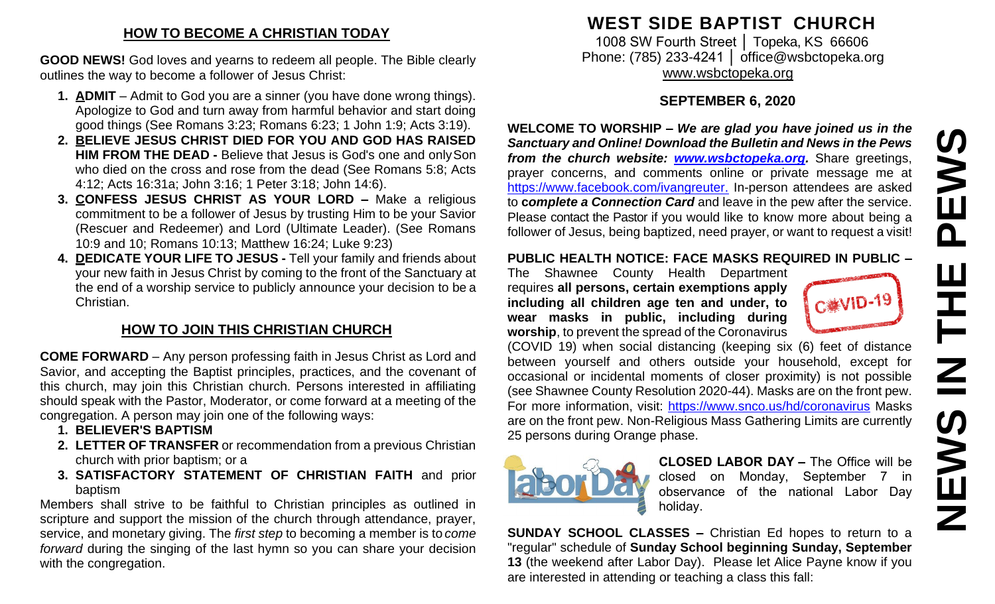### **HOW TO BECOME A CHRISTIAN TODAY**

**GOOD NEWS!** God loves and yearns to redeem all people. The Bible clearly outlines the way to become a follower of Jesus Christ:

- **1. ADMIT**  Admit to God you are a sinner (you have done wrong things). Apologize to God and turn away from harmful behavior and start doing good things (See Romans 3:23; Romans 6:23; 1 John 1:9; Acts 3:19).
- **2. BELIEVE JESUS CHRIST DIED FOR YOU AND GOD HAS RAISED HIM FROM THE DEAD -** Believe that Jesus is God's one and onlySon who died on the cross and rose from the dead (See Romans 5:8; Acts 4:12; Acts 16:31a; John 3:16; 1 Peter 3:18; John 14:6).
- **3. CONFESS JESUS CHRIST AS YOUR LORD –** Make a religious commitment to be a follower of Jesus by trusting Him to be your Savior (Rescuer and Redeemer) and Lord (Ultimate Leader). (See Romans 10:9 and 10; Romans 10:13; Matthew 16:24; Luke 9:23)
- **4. DEDICATE YOUR LIFE TO JESUS -** Tell your family and friends about your new faith in Jesus Christ by coming to the front of the Sanctuary at the end of a worship service to publicly announce your decision to be a Christian.

# **HOW TO JOIN THIS CHRISTIAN CHURCH**

**COME FORWARD** – Any person professing faith in Jesus Christ as Lord and Savior, and accepting the Baptist principles, practices, and the covenant of this church, may join this Christian church. Persons interested in affiliating should speak with the Pastor, Moderator, or come forward at a meeting of the congregation. A person may join one of the following ways:

- **1. BELIEVER'S BAPTISM**
- **2. LETTER OF TRANSFER** or recommendation from a previous Christian church with prior baptism; or a
- **3. SATISFACTORY STATEMENT OF CHRISTIAN FAITH** and prior baptism

Members shall strive to be faithful to Christian principles as outlined in scripture and support the mission of the church through attendance, prayer, service, and monetary giving. The *first step* to becoming a member is to *come forward* during the singing of the last hymn so you can share your decision with the congregation.

# **WEST SIDE BAPTIST CHURCH**

1008 SW Fourth Street | Topeka, KS 66606 Phone: (785) 233-4241 │ [office@wsbctopeka.org](mailto:office@wsbctopeka.org) [www.wsbctopeka.org](http://www.wsbctopeka.org/)

# **SEPTEMBER 6, 2020**

**WELCOME TO WORSHIP –** *We are glad you have joined us in the Sanctuary and Online! Download the Bulletin and News in the Pews from the church website: [www.wsbctopeka.org.](http://www.wsbctopeka.org/)* Share greetings, prayer concerns, and comments online or private message me at <https://www.facebook.com/ivangreuter.> In-person attendees are asked to **c***omplete a Connection Card* and leave in the pew after the service. Please contact the Pastor if you would like to know more about being a follower of Jesus, being baptized, need prayer, or want to request a visit!

#### **PUBLIC HEALTH NOTICE: FACE MASKS REQUIRED IN PUBLIC –**

The Shawnee County Health Department requires **all persons, certain exemptions apply including all children age ten and under, to wear masks in public, including during worship**, to prevent the spread of the Coronavirus

(COVID 19) when social distancing (keeping six (6) feet of distance between yourself and others outside your household, except for occasional or incidental moments of closer proximity) is not possible (see Shawnee County Resolution 2020-44). Masks are on the front pew. For more information, visit:<https://www.snco.us/hd/coronavirus> Masks are on the front pew. Non-Religious Mass Gathering Limits are currently 25 persons during Orange phase.



**CLOSED LABOR DAY –** The Office will be closed on Monday, September 7 in observance of the national Labor Day holiday.

**SUNDAY SCHOOL CLASSES –** Christian Ed hopes to return to a "regular" schedule of **Sunday School beginning Sunday, September 13** (the weekend after Labor Day). Please let Alice Payne know if you are interested in attending or teaching a class this fall: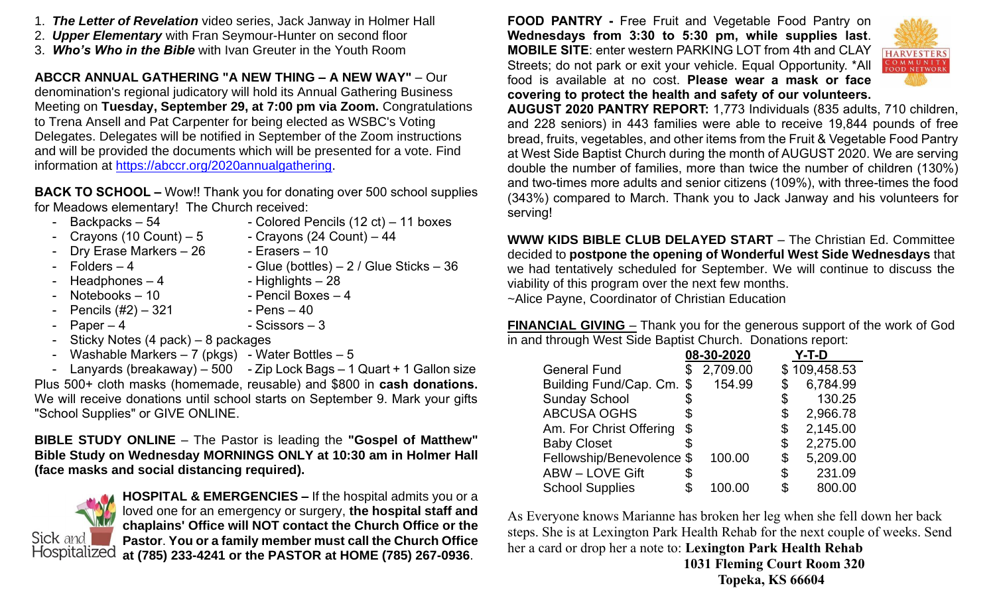- 1. *The Letter of Revelation* video series, Jack Janway in Holmer Hall
- 2. *Upper Elementary* with Fran Seymour-Hunter on second floor
- 3. *Who's Who in the Bible* with Ivan Greuter in the Youth Room

**ABCCR ANNUAL GATHERING "A NEW THING – A NEW WAY"** – Our denomination's regional judicatory will hold its Annual Gathering Business Meeting on **Tuesday, September 29, at 7:00 pm via Zoom.** Congratulations to Trena Ansell and Pat Carpenter for being elected as WSBC's Voting Delegates. Delegates will be notified in September of the Zoom instructions and will be provided the documents which will be presented for a vote. Find information at [https://abccr.org/2020annualgathering.](https://abccr.org/2020annualgathering)

**BACK TO SCHOOL –** Wow!! Thank you for donating over 500 school supplies for Meadows elementary! The Church received:

- 
- Backpacks 54 Colored Pencils (12 ct) 11 boxes
- Crayons (10 Count) 5 Crayons (24 Count) 44
	- Drv Erase Markers 26 Erasers 10
- $-$  Folders  $-4$   $-$  Glue (bottles)  $-2/$  Glue Sticks  $-36$ 
	- $Headphones 4$  Highlights 28
- Notebooks 10 Pencil Boxes 4
- Pencils  $(\#2) 321$  Pens  $-40$
- $-$  Paper  $-4$   $-$  Scissors  $-3$
- 
- Sticky Notes (4 pack) 8 packages
- Washable Markers  $-7$  (pkgs) Water Bottles  $-5$

- Lanyards (breakaway) – 500 - Zip Lock Bags – 1 Quart + 1 Gallon size Plus 500+ cloth masks (homemade, reusable) and \$800 in **cash donations.**  We will receive donations until school starts on September 9. Mark your gifts "School Supplies" or GIVE ONLINE.

**BIBLE STUDY ONLINE** – The Pastor is leading the **"Gospel of Matthew" Bible Study on Wednesday MORNINGS ONLY at 10:30 am in Holmer Hall (face masks and social distancing required).** 



**HOSPITAL & EMERGENCIES –** If the hospital admits you or a loved one for an emergency or surgery, **the hospital staff and chaplains' Office will NOT contact the Church Office or the Pastor**. **You or a family member must call the Church Office at (785) 233-4241 or the PASTOR at HOME (785) 267-0936**.

**FOOD PANTRY -** Free Fruit and Vegetable Food Pantry on **Wednesdays from 3:30 to 5:30 pm, while supplies last**. **MOBILE SITE**: enter western PARKING LOT from 4th and CLAY Streets; do not park or exit your vehicle. Equal Opportunity. \*All food is available at no cost. **Please wear a mask or face covering to protect the health and safety of our volunteers.**



**AUGUST 2020 PANTRY REPORT:** 1,773 Individuals (835 adults, 710 children, and 228 seniors) in 443 families were able to receive 19,844 pounds of free bread, fruits, vegetables, and other items from the Fruit & Vegetable Food Pantry at West Side Baptist Church during the month of AUGUST 2020. We are serving double the number of families, more than twice the number of children (130%) and two-times more adults and senior citizens (109%), with three-times the food (343%) compared to March. Thank you to Jack Janway and his volunteers for serving!

**WWW KIDS BIBLE CLUB DELAYED START** – The Christian Ed. Committee decided to **postpone the opening of Wonderful West Side Wednesdays** that we had tentatively scheduled for September. We will continue to discuss the viability of this program over the next few months. ~Alice Payne, Coordinator of Christian Education

**FINANCIAL GIVING** – Thank you for the generous support of the work of God in and through West Side Baptist Church. Donations report:

|                           |    | 08-30-2020 |     | Y-T-D        |
|---------------------------|----|------------|-----|--------------|
| <b>General Fund</b>       |    | 2,709.00   |     | \$109,458.53 |
| Building Fund/Cap. Cm.    | \$ | 154.99     |     | 6,784.99     |
| <b>Sunday School</b>      | S  |            | \$  | 130.25       |
| <b>ABCUSA OGHS</b>        |    |            | \$  | 2,966.78     |
| Am. For Christ Offering   | \$ |            | \$  | 2,145.00     |
| <b>Baby Closet</b>        | S. |            | \$  | 2,275.00     |
| Fellowship/Benevolence \$ |    | 100.00     | \$  | 5,209.00     |
| <b>ABW - LOVE Gift</b>    | S  |            | \$  | 231.09       |
| <b>School Supplies</b>    |    | 100.00     | \$. | 800.00       |

As Everyone knows Marianne has broken her leg when she fell down her back steps. She is at Lexington Park Health Rehab for the next couple of weeks. Send her a card or drop her a note to: **Lexington Park Health Rehab 1031 Fleming Court Room 320**

 **Topeka, KS 66604**